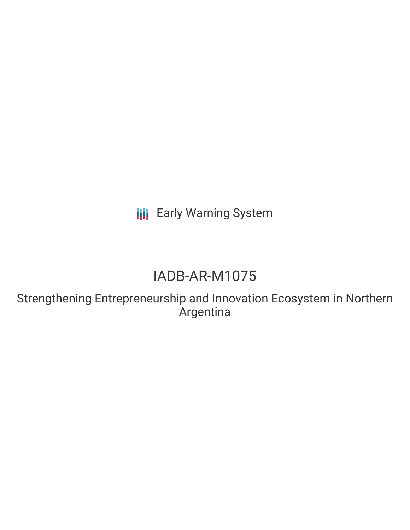**III** Early Warning System

# IADB-AR-M1075

Strengthening Entrepreneurship and Innovation Ecosystem in Northern Argentina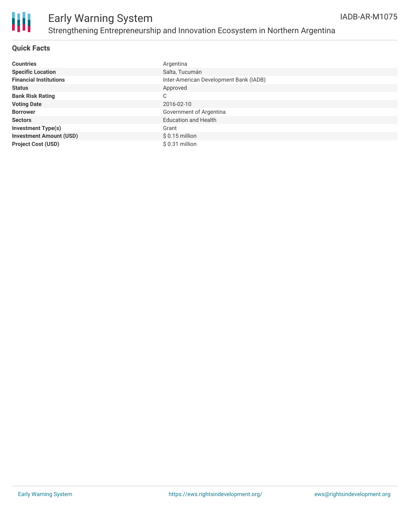

#### **Quick Facts**

| <b>Countries</b>               | Argentina                              |
|--------------------------------|----------------------------------------|
| <b>Specific Location</b>       | Salta, Tucumán                         |
| <b>Financial Institutions</b>  | Inter-American Development Bank (IADB) |
| <b>Status</b>                  | Approved                               |
| <b>Bank Risk Rating</b>        | C                                      |
| <b>Voting Date</b>             | 2016-02-10                             |
| <b>Borrower</b>                | Government of Argentina                |
| <b>Sectors</b>                 | <b>Education and Health</b>            |
| <b>Investment Type(s)</b>      | Grant                                  |
| <b>Investment Amount (USD)</b> | $$0.15$ million                        |
| <b>Project Cost (USD)</b>      | \$ 0.31 million                        |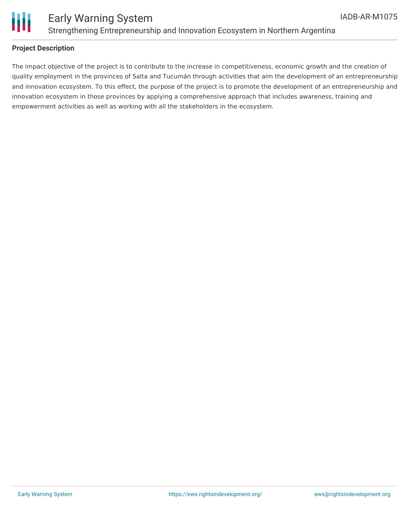

#### **Project Description**

The impact objective of the project is to contribute to the increase in competitiveness, economic growth and the creation of quality employment in the provinces of Salta and Tucumán through activities that aim the development of an entrepreneurship and innovation ecosystem. To this effect, the purpose of the project is to promote the development of an entrepreneurship and innovation ecosystem in those provinces by applying a comprehensive approach that includes awareness, training and empowerment activities as well as working with all the stakeholders in the ecosystem.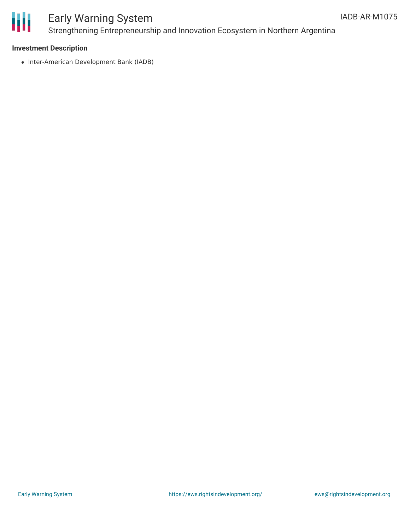

### Early Warning System Strengthening Entrepreneurship and Innovation Ecosystem in Northern Argentina

#### **Investment Description**

• Inter-American Development Bank (IADB)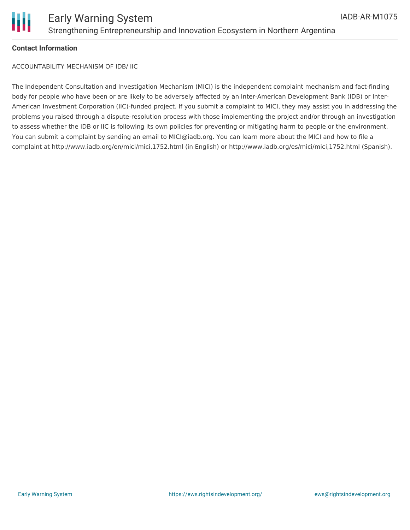

#### **Contact Information**

ACCOUNTABILITY MECHANISM OF IDB/ IIC

The Independent Consultation and Investigation Mechanism (MICI) is the independent complaint mechanism and fact-finding body for people who have been or are likely to be adversely affected by an Inter-American Development Bank (IDB) or Inter-American Investment Corporation (IIC)-funded project. If you submit a complaint to MICI, they may assist you in addressing the problems you raised through a dispute-resolution process with those implementing the project and/or through an investigation to assess whether the IDB or IIC is following its own policies for preventing or mitigating harm to people or the environment. You can submit a complaint by sending an email to MICI@iadb.org. You can learn more about the MICI and how to file a complaint at http://www.iadb.org/en/mici/mici,1752.html (in English) or http://www.iadb.org/es/mici/mici,1752.html (Spanish).